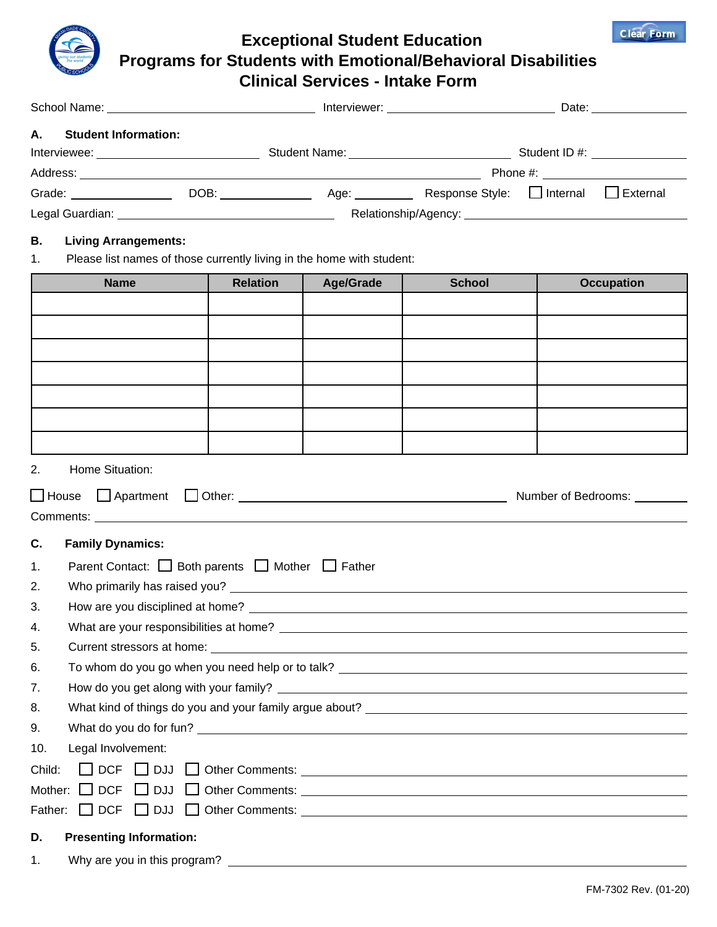

 **Exceptional Student Education Programs for Students with Emotional/Behavioral Disabilities Clinical Services - Intake Form**

| <b>Student Information:</b><br>А. |                                                                       |                  |               |                   |  |  |
|-----------------------------------|-----------------------------------------------------------------------|------------------|---------------|-------------------|--|--|
|                                   |                                                                       |                  |               |                   |  |  |
|                                   |                                                                       |                  |               |                   |  |  |
|                                   |                                                                       |                  |               |                   |  |  |
|                                   |                                                                       |                  |               |                   |  |  |
| 1.                                | Please list names of those currently living in the home with student: |                  |               |                   |  |  |
|                                   |                                                                       |                  |               |                   |  |  |
| <b>Name</b>                       | <b>Relation</b>                                                       | <b>Age/Grade</b> | <b>School</b> | <b>Occupation</b> |  |  |
|                                   |                                                                       |                  |               |                   |  |  |
|                                   |                                                                       |                  |               |                   |  |  |
|                                   |                                                                       |                  |               |                   |  |  |
|                                   |                                                                       |                  |               |                   |  |  |
|                                   |                                                                       |                  |               |                   |  |  |
|                                   |                                                                       |                  |               |                   |  |  |
|                                   |                                                                       |                  |               |                   |  |  |
|                                   |                                                                       |                  |               |                   |  |  |

L House L Apartment L Other: 2000 CH Apartment Application Other: 2000 CH Apartment Application Other: 2000 CH Comments: **C. Family Dynamics:**

## 1. Parent Contact:  $\Box$  Both parents  $\Box$  Mother  $\Box$  Father 2. Who primarily has raised you? 3. How are you disciplined at home? 4. What are your responsibilities at home? 5. Current stressors at home: 6. To whom do you go when you need help or to talk? 7. How do you get along with your family? 8. What kind of things do you and your family argue about? 9. What do you do for fun? 10. Legal Involvement: Child:  $\Box$  DCF  $\Box$  DJJ  $\Box$  Other Comments: Mother: DCF DJJ Other Comments: Father: DCF DJJ Other Comments: **D. Presenting Information:**

1. Why are you in this program?

**Clear Form**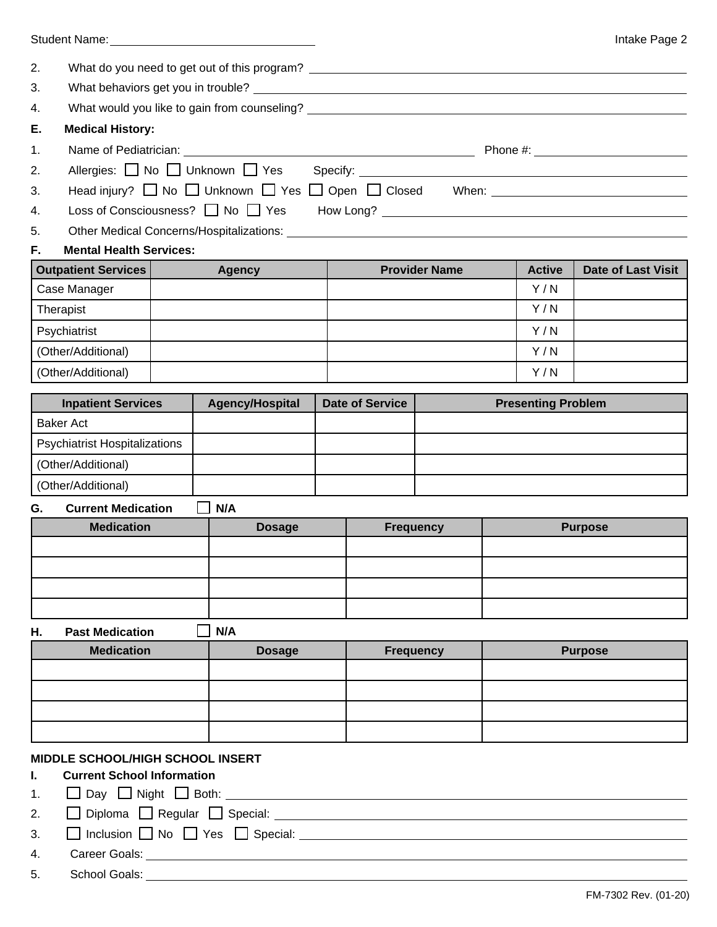|    |                                         | Student Name: Manual According to the Student Name:                                                           |                        |                      |                           | Intake Page 2             |
|----|-----------------------------------------|---------------------------------------------------------------------------------------------------------------|------------------------|----------------------|---------------------------|---------------------------|
| 2. |                                         | What do you need to get out of this program? ___________________________________                              |                        |                      |                           |                           |
| 3. |                                         |                                                                                                               |                        |                      |                           |                           |
| 4. |                                         | What would you like to gain from counseling? ___________________________________                              |                        |                      |                           |                           |
| Е. | <b>Medical History:</b>                 |                                                                                                               |                        |                      |                           |                           |
| 1. |                                         |                                                                                                               |                        |                      |                           |                           |
| 2. |                                         |                                                                                                               |                        |                      |                           |                           |
| 3. |                                         | Head injury? ■ No ■ Unknown ■ Yes ■ Open ■ Closed When: ■ ■ Direction Muslem Blue Monday Monday Monday Monday |                        |                      |                           |                           |
| 4. |                                         | Loss of Consciousness? No PYes How Long? Now Long 2000 November 2014                                          |                        |                      |                           |                           |
| 5. |                                         |                                                                                                               |                        |                      |                           |                           |
| F. | <b>Mental Health Services:</b>          |                                                                                                               |                        |                      |                           |                           |
|    | <b>Outpatient Services</b>              | <b>Agency</b>                                                                                                 |                        | <b>Provider Name</b> | <b>Active</b>             | <b>Date of Last Visit</b> |
|    | Case Manager                            |                                                                                                               |                        |                      | Y/N                       |                           |
|    | Therapist                               |                                                                                                               |                        |                      | Y/N                       |                           |
|    | Psychiatrist                            |                                                                                                               |                        |                      | Y/N                       |                           |
|    | (Other/Additional)                      |                                                                                                               |                        |                      | Y/N                       |                           |
|    | (Other/Additional)                      |                                                                                                               |                        |                      | Y/N                       |                           |
|    | <b>Inpatient Services</b>               | <b>Agency/Hospital</b>                                                                                        | <b>Date of Service</b> |                      | <b>Presenting Problem</b> |                           |
|    | <b>Baker Act</b>                        |                                                                                                               |                        |                      |                           |                           |
|    | <b>Psychiatrist Hospitalizations</b>    |                                                                                                               |                        |                      |                           |                           |
|    | (Other/Additional)                      |                                                                                                               |                        |                      |                           |                           |
|    | (Other/Additional)                      |                                                                                                               |                        |                      |                           |                           |
| G. | <b>Current Medication</b>               | N/A                                                                                                           |                        |                      |                           |                           |
|    | <b>Medication</b>                       | <b>Dosage</b>                                                                                                 | <b>Frequency</b>       |                      |                           | <b>Purpose</b>            |
|    |                                         |                                                                                                               |                        |                      |                           |                           |
|    |                                         |                                                                                                               |                        |                      |                           |                           |
|    |                                         |                                                                                                               |                        |                      |                           |                           |
|    |                                         |                                                                                                               |                        |                      |                           |                           |
| Н. | <b>Past Medication</b>                  | N/A                                                                                                           |                        |                      |                           |                           |
|    | <b>Medication</b>                       | <b>Dosage</b>                                                                                                 | <b>Frequency</b>       |                      |                           | <b>Purpose</b>            |
|    |                                         |                                                                                                               |                        |                      |                           |                           |
|    |                                         |                                                                                                               |                        |                      |                           |                           |
|    |                                         |                                                                                                               |                        |                      |                           |                           |
|    |                                         |                                                                                                               |                        |                      |                           |                           |
|    | <b>MIDDLE SCHOOL/HIGH SCHOOL INSERT</b> |                                                                                                               |                        |                      |                           |                           |
| I. | <b>Current School Information</b>       |                                                                                                               |                        |                      |                           |                           |
| 1. |                                         |                                                                                                               |                        |                      |                           |                           |
| 2. |                                         |                                                                                                               |                        |                      |                           |                           |
| 3. |                                         | □ Inclusion □ No □ Yes □ Special: _________                                                                   |                        |                      |                           |                           |

4. Career Goals: <u>Career Coals:</u> Career Coals: Career Coals: Career Coals: Career Coals: Career Coals: Career Coals: Career Coals: Career Coals: Career Coals: Career Coals: Career Coals: Career Coals: Career Coals: Career

5. School Goals: